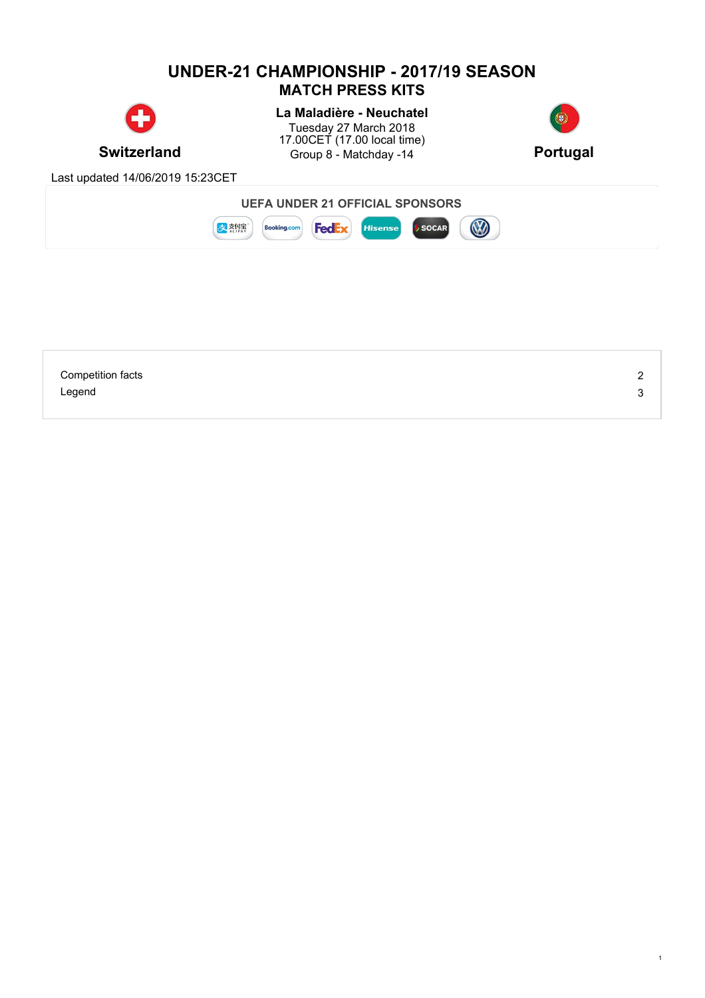## **UNDER-21 CHAMPIONSHIP - 2017/19 SEASON MATCH PRESS KITS La Maladière - Neuchatel** Tuesday 27 March 2018 17.00CET (17.00 local time) **Switzerland** Group 8 - Matchday -14 **Portugal** Last updated 14/06/2019 15:23CET **UEFA UNDER 21 OFFICIAL SPONSORS** B ま熱療 **Booking.com FedEx** Hisense SOCAR

| <b>Competition facts</b> | <u>_</u> |
|--------------------------|----------|
| Legend                   |          |
|                          |          |

1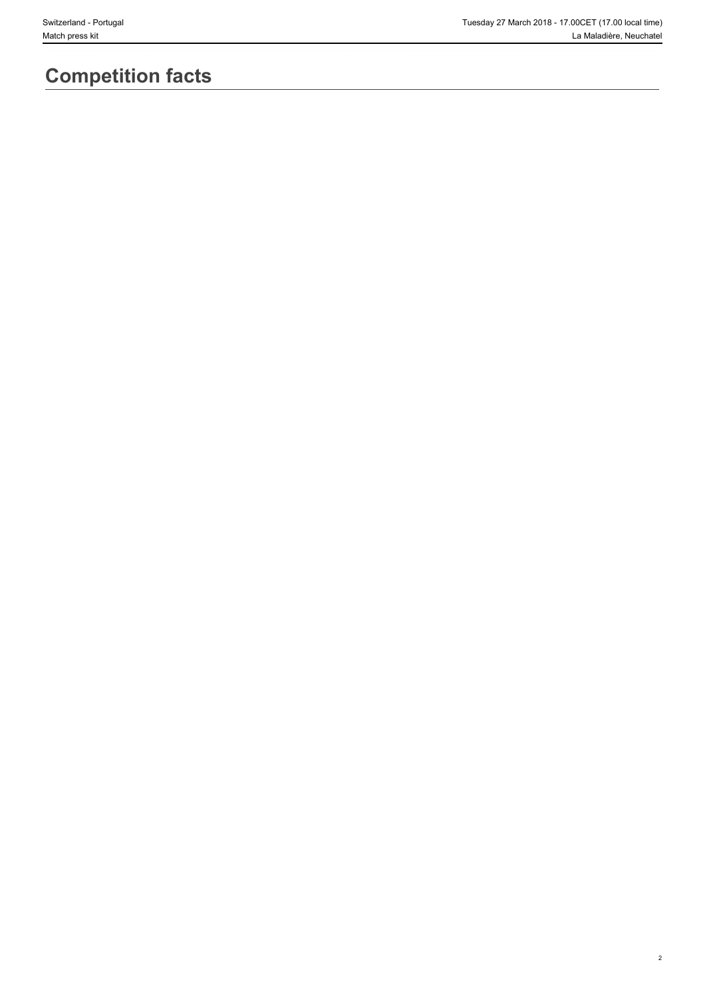2

# **Competition facts**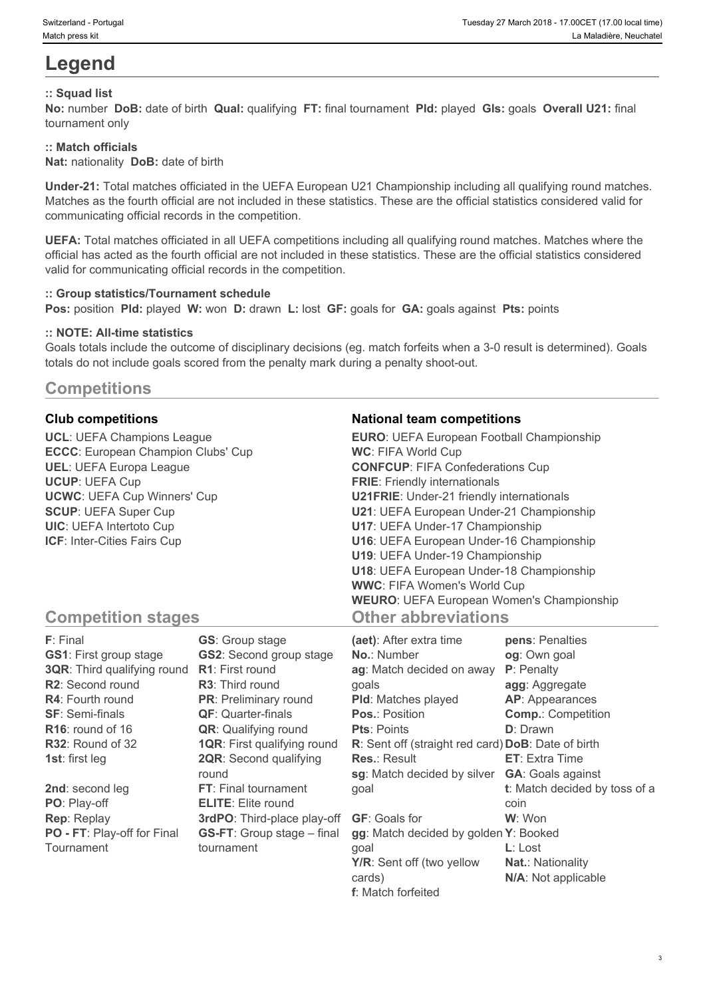# **Legend**

## **:: Squad list**

**No:** number **DoB:** date of birth **Qual:** qualifying **FT:** final tournament **Pld:** played **Gls:** goals **Overall U21:** final tournament only

#### **:: Match officials**

**Nat:** nationality **DoB:** date of birth

**Under-21:** Total matches officiated in the UEFA European U21 Championship including all qualifying round matches. Matches as the fourth official are not included in these statistics. These are the official statistics considered valid for communicating official records in the competition.

**UEFA:** Total matches officiated in all UEFA competitions including all qualifying round matches. Matches where the official has acted as the fourth official are not included in these statistics. These are the official statistics considered valid for communicating official records in the competition.

#### **:: Group statistics/Tournament schedule**

**Pos:** position **Pld:** played **W:** won **D:** drawn **L:** lost **GF:** goals for **GA:** goals against **Pts:** points

#### **:: NOTE: All-time statistics**

Goals totals include the outcome of disciplinary decisions (eg. match forfeits when a 3-0 result is determined). Goals totals do not include goals scored from the penalty mark during a penalty shoot-out.

# **Competitions**

**UCL**: UEFA Champions League **ECCC**: European Champion Clubs' Cup **UEL**: UEFA Europa League **UCUP**: UEFA Cup **UCWC**: UEFA Cup Winners' Cup **SCUP**: UEFA Super Cup **UIC**: UEFA Intertoto Cup **ICF**: Inter-Cities Fairs Cup

## **Club competitions National team competitions**

| <b>EURO:</b> UEFA European Football Championship |  |
|--------------------------------------------------|--|
| <b>WC: FIFA World Cup</b>                        |  |
| <b>CONFCUP: FIFA Confederations Cup</b>          |  |
| <b>FRIE:</b> Friendly internationals             |  |
| <b>U21FRIE:</b> Under-21 friendly internationals |  |
| U21: UEFA European Under-21 Championship         |  |
| U17: UEFA Under-17 Championship                  |  |
| U16: UEFA European Under-16 Championship         |  |
| U19: UEFA Under-19 Championship                  |  |
| U18: UEFA European Under-18 Championship         |  |
| <b>WWC: FIFA Women's World Cup</b>               |  |
| <b>WEURO: UEFA European Women's Championship</b> |  |
| <b>Other abbreviations</b>                       |  |

# **Competition stages**

| F: Final                           | <b>GS:</b> Group stage             | (aet): After extra time                            | pens: Penalties               |
|------------------------------------|------------------------------------|----------------------------------------------------|-------------------------------|
| <b>GS1: First group stage</b>      | <b>GS2:</b> Second group stage     | <b>No.: Number</b>                                 | og: Own goal                  |
| <b>3QR:</b> Third qualifying round | <b>R1:</b> First round             | ag: Match decided on away                          | P: Penalty                    |
| R2: Second round                   | <b>R3:</b> Third round             | qoals                                              | agg: Aggregate                |
| <b>R4:</b> Fourth round            | <b>PR:</b> Preliminary round       | <b>PId:</b> Matches played                         | AP: Appearances               |
| <b>SF: Semi-finals</b>             | <b>QF: Quarter-finals</b>          | <b>Pos.: Position</b>                              | <b>Comp.: Competition</b>     |
| $R16$ : round of 16                | <b>QR:</b> Qualifying round        | <b>Pts: Points</b>                                 | <b>D</b> : Drawn              |
| R32: Round of 32                   | <b>1QR: First qualifying round</b> | R: Sent off (straight red card) DoB: Date of birth |                               |
| <b>1st:</b> first leg              | <b>2QR:</b> Second qualifying      | <b>Res.: Result</b>                                | <b>ET:</b> Extra Time         |
|                                    | round                              | sg: Match decided by silver                        | <b>GA:</b> Goals against      |
| 2nd: second leg                    | FT: Final tournament               | qoal                                               | t: Match decided by toss of a |
| PO: Play-off                       | <b>ELITE:</b> Elite round          |                                                    | coin                          |
| <b>Rep: Replay</b>                 | 3rdPO: Third-place play-off        | <b>GF: Goals for</b>                               | W: Won                        |
| PO - FT: Play-off for Final        | <b>GS-FT:</b> Group stage – final  | gg: Match decided by golden Y: Booked              |                               |
| Tournament                         | tournament                         | qoal                                               | $L:$ Lost                     |
|                                    |                                    | Y/R: Sent off (two yellow                          | <b>Nat.: Nationality</b>      |
|                                    |                                    | cards)                                             | N/A: Not applicable           |

**f**: Match forfeited